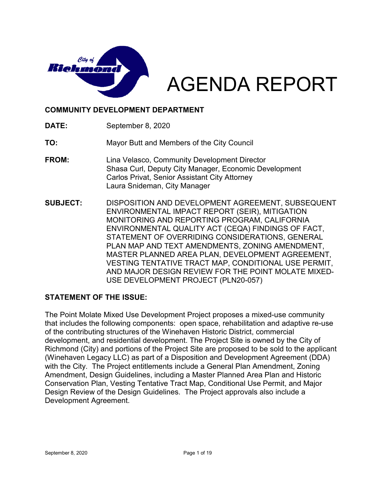

# AGENDA REPORT

#### **COMMUNITY DEVELOPMENT DEPARTMENT**

**DATE:** September 8, 2020

**TO:** Mayor Butt and Members of the City Council

- **FROM:** Lina Velasco, Community Development Director Shasa Curl, Deputy City Manager, Economic Development Carlos Privat, Senior Assistant City Attorney Laura Snideman, City Manager
- **SUBJECT:** DISPOSITION AND DEVELOPMENT AGREEMENT, SUBSEQUENT ENVIRONMENTAL IMPACT REPORT (SEIR), MITIGATION MONITORING AND REPORTING PROGRAM, CALIFORNIA ENVIRONMENTAL QUALITY ACT (CEQA) FINDINGS OF FACT, STATEMENT OF OVERRIDING CONSIDERATIONS, GENERAL PLAN MAP AND TEXT AMENDMENTS, ZONING AMENDMENT, MASTER PLANNED AREA PLAN, DEVELOPMENT AGREEMENT, VESTING TENTATIVE TRACT MAP, CONDITIONAL USE PERMIT, AND MAJOR DESIGN REVIEW FOR THE POINT MOLATE MIXED-USE DEVELOPMENT PROJECT (PLN20-057)

#### **STATEMENT OF THE ISSUE:**

The Point Molate Mixed Use Development Project proposes a mixed-use community that includes the following components: open space, rehabilitation and adaptive re-use of the contributing structures of the Winehaven Historic District, commercial development, and residential development. The Project Site is owned by the City of Richmond (City) and portions of the Project Site are proposed to be sold to the applicant (Winehaven Legacy LLC) as part of a Disposition and Development Agreement (DDA) with the City. The Project entitlements include a General Plan Amendment, Zoning Amendment, Design Guidelines, including a Master Planned Area Plan and Historic Conservation Plan, Vesting Tentative Tract Map, Conditional Use Permit, and Major Design Review of the Design Guidelines. The Project approvals also include a Development Agreement.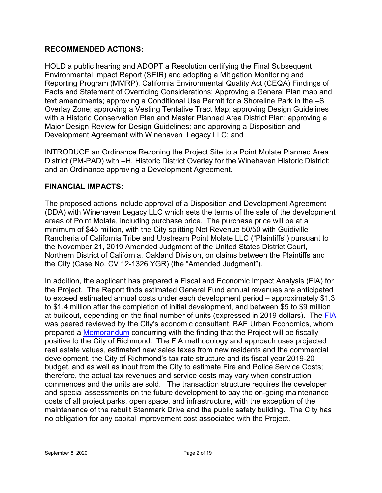#### **RECOMMENDED ACTIONS:**

HOLD a public hearing and ADOPT a Resolution certifying the Final Subsequent Environmental Impact Report (SEIR) and adopting a Mitigation Monitoring and Reporting Program (MMRP), California Environmental Quality Act (CEQA) Findings of Facts and Statement of Overriding Considerations; Approving a General Plan map and text amendments; approving a Conditional Use Permit for a Shoreline Park in the –S Overlay Zone; approving a Vesting Tentative Tract Map; approving Design Guidelines with a Historic Conservation Plan and Master Planned Area District Plan; approving a Major Design Review for Design Guidelines; and approving a Disposition and Development Agreement with Winehaven Legacy LLC; and

INTRODUCE an Ordinance Rezoning the Project Site to a Point Molate Planned Area District (PM-PAD) with –H, Historic District Overlay for the Winehaven Historic District; and an Ordinance approving a Development Agreement.

#### **FINANCIAL IMPACTS:**

The proposed actions include approval of a Disposition and Development Agreement (DDA) with Winehaven Legacy LLC which sets the terms of the sale of the development areas of Point Molate, including purchase price. The purchase price will be at a minimum of \$45 million, with the City splitting Net Revenue 50/50 with Guidiville Rancheria of California Tribe and Upstream Point Molate LLC ("Plaintiffs") pursuant to the November 21, 2019 Amended Judgment of the United States District Court, Northern District of California, Oakland Division, on claims between the Plaintiffs and the City (Case No. CV 12-1326 YGR) (the "Amended Judgment").

In addition, the applicant has prepared a Fiscal and Economic Impact Analysis (FIA) for the Project. The Report finds estimated General Fund annual revenues are anticipated to exceed estimated annual costs under each development period – approximately \$1.3 to \$1.4 million after the completion of initial development, and between \$5 to \$9 million at buildout, depending on the final number of units (expressed in 2019 dollars). The [FIA](http://www.ci.richmond.ca.us/DocumentCenter/View/54455/192173-Report-06-17-2020) was peered reviewed by the City's economic consultant, BAE Urban Economics, whom prepared a [Memorandum](http://www.ci.richmond.ca.us/DocumentCenter/View/54456/BAE-Pt-Molate-FIA-Peer-Review---FINAL-062920) concurring with the finding that the Project will be fiscally positive to the City of Richmond. The FIA methodology and approach uses projected real estate values, estimated new sales taxes from new residents and the commercial development, the City of Richmond's tax rate structure and its fiscal year 2019-20 budget, and as well as input from the City to estimate Fire and Police Service Costs; therefore, the actual tax revenues and service costs may vary when construction commences and the units are sold. The transaction structure requires the developer and special assessments on the future development to pay the on-going maintenance costs of all project parks, open space, and infrastructure, with the exception of the maintenance of the rebuilt Stenmark Drive and the public safety building. The City has no obligation for any capital improvement cost associated with the Project.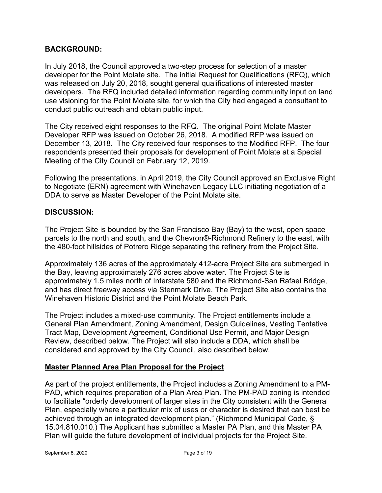#### **BACKGROUND:**

In July 2018, the Council approved a two-step process for selection of a master developer for the Point Molate site. The initial Request for Qualifications (RFQ), which was released on July 20, 2018, sought general qualifications of interested master developers. The RFQ included detailed information regarding community input on land use visioning for the Point Molate site, for which the City had engaged a consultant to conduct public outreach and obtain public input.

The City received eight responses to the RFQ. The original Point Molate Master Developer RFP was issued on October 26, 2018. A modified RFP was issued on December 13, 2018. The City received four responses to the Modified RFP. The four respondents presented their proposals for development of Point Molate at a Special Meeting of the City Council on February 12, 2019.

Following the presentations, in April 2019, the City Council approved an Exclusive Right to Negotiate (ERN) agreement with Winehaven Legacy LLC initiating negotiation of a DDA to serve as Master Developer of the Point Molate site.

#### **DISCUSSION:**

The Project Site is bounded by the San Francisco Bay (Bay) to the west, open space parcels to the north and south, and the Chevron®-Richmond Refinery to the east, with the 480-foot hillsides of Potrero Ridge separating the refinery from the Project Site.

Approximately 136 acres of the approximately 412-acre Project Site are submerged in the Bay, leaving approximately 276 acres above water. The Project Site is approximately 1.5 miles north of Interstate 580 and the Richmond-San Rafael Bridge, and has direct freeway access via Stenmark Drive. The Project Site also contains the Winehaven Historic District and the Point Molate Beach Park.

The Project includes a mixed-use community. The Project entitlements include a General Plan Amendment, Zoning Amendment, Design Guidelines, Vesting Tentative Tract Map, Development Agreement, Conditional Use Permit, and Major Design Review, described below. The Project will also include a DDA, which shall be considered and approved by the City Council, also described below.

## **Master Planned Area Plan Proposal for the Project**

As part of the project entitlements, the Project includes a Zoning Amendment to a PM-PAD, which requires preparation of a Plan Area Plan. The PM-PAD zoning is intended to facilitate "orderly development of larger sites in the City consistent with the General Plan, especially where a particular mix of uses or character is desired that can best be achieved through an integrated development plan." (Richmond Municipal Code, § 15.04.810.010.) The Applicant has submitted a Master PA Plan, and this Master PA Plan will guide the future development of individual projects for the Project Site.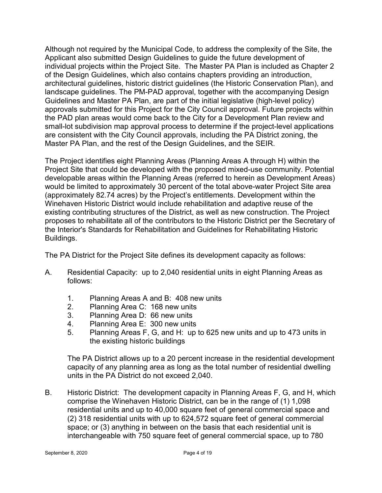Although not required by the Municipal Code, to address the complexity of the Site, the Applicant also submitted Design Guidelines to guide the future development of individual projects within the Project Site. The Master PA Plan is included as Chapter 2 of the Design Guidelines, which also contains chapters providing an introduction, architectural guidelines, historic district guidelines (the Historic Conservation Plan), and landscape guidelines. The PM-PAD approval, together with the accompanying Design Guidelines and Master PA Plan, are part of the initial legislative (high-level policy) approvals submitted for this Project for the City Council approval. Future projects within the PAD plan areas would come back to the City for a Development Plan review and small-lot subdivision map approval process to determine if the project-level applications are consistent with the City Council approvals, including the PA District zoning, the Master PA Plan, and the rest of the Design Guidelines, and the SEIR.

The Project identifies eight Planning Areas (Planning Areas A through H) within the Project Site that could be developed with the proposed mixed-use community. Potential developable areas within the Planning Areas (referred to herein as Development Areas) would be limited to approximately 30 percent of the total above-water Project Site area (approximately 82.74 acres) by the Project's entitlements. Development within the Winehaven Historic District would include rehabilitation and adaptive reuse of the existing contributing structures of the District, as well as new construction. The Project proposes to rehabilitate all of the contributors to the Historic District per the Secretary of the Interior's Standards for Rehabilitation and Guidelines for Rehabilitating Historic Buildings.

The PA District for the Project Site defines its development capacity as follows:

- A. Residential Capacity: up to 2,040 residential units in eight Planning Areas as follows:
	- 1. Planning Areas A and B: 408 new units
	- 2. Planning Area C: 168 new units
	- 3. Planning Area D: 66 new units
	- 4. Planning Area E: 300 new units
	- 5. Planning Areas F, G, and H: up to 625 new units and up to 473 units in the existing historic buildings

The PA District allows up to a 20 percent increase in the residential development capacity of any planning area as long as the total number of residential dwelling units in the PA District do not exceed 2,040.

B. Historic District: The development capacity in Planning Areas F, G, and H, which comprise the Winehaven Historic District, can be in the range of (1) 1,098 residential units and up to 40,000 square feet of general commercial space and (2) 318 residential units with up to 624,572 square feet of general commercial space; or (3) anything in between on the basis that each residential unit is interchangeable with 750 square feet of general commercial space, up to 780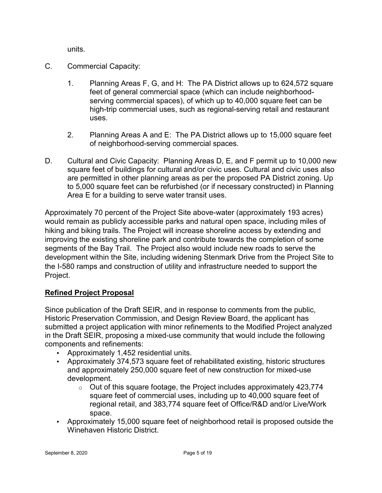units.

- C. Commercial Capacity:
	- 1. Planning Areas F, G, and H: The PA District allows up to 624,572 square feet of general commercial space (which can include neighborhoodserving commercial spaces), of which up to 40,000 square feet can be high-trip commercial uses, such as regional-serving retail and restaurant uses.
	- 2. Planning Areas A and E: The PA District allows up to 15,000 square feet of neighborhood-serving commercial spaces.
- D. Cultural and Civic Capacity: Planning Areas D, E, and F permit up to 10,000 new square feet of buildings for cultural and/or civic uses. Cultural and civic uses also are permitted in other planning areas as per the proposed PA District zoning. Up to 5,000 square feet can be refurbished (or if necessary constructed) in Planning Area E for a building to serve water transit uses.

Approximately 70 percent of the Project Site above-water (approximately 193 acres) would remain as publicly accessible parks and natural open space, including miles of hiking and biking trails. The Project will increase shoreline access by extending and improving the existing shoreline park and contribute towards the completion of some segments of the Bay Trail. The Project also would include new roads to serve the development within the Site, including widening Stenmark Drive from the Project Site to the I-580 ramps and construction of utility and infrastructure needed to support the Project.

## **Refined Project Proposal**

Since publication of the Draft SEIR, and in response to comments from the public, Historic Preservation Commission, and Design Review Board, the applicant has submitted a project application with minor refinements to the Modified Project analyzed in the Draft SEIR, proposing a mixed-use community that would include the following components and refinements:

- Approximately 1,452 residential units.
- Approximately 374,573 square feet of rehabilitated existing, historic structures and approximately 250,000 square feet of new construction for mixed-use development.
	- $\circ$  Out of this square footage, the Project includes approximately 423,774 square feet of commercial uses, including up to 40,000 square feet of regional retail, and 383,774 square feet of Office/R&D and/or Live/Work space.
- Approximately 15,000 square feet of neighborhood retail is proposed outside the Winehaven Historic District.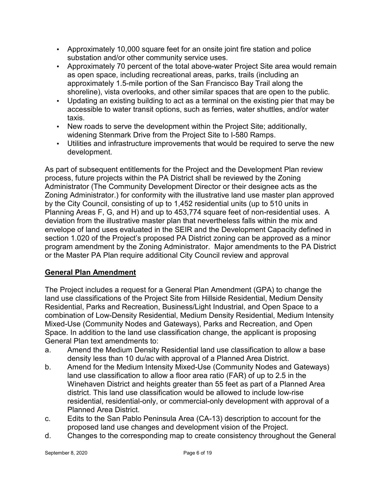- Approximately 10,000 square feet for an onsite joint fire station and police substation and/or other community service uses.
- Approximately 70 percent of the total above-water Project Site area would remain as open space, including recreational areas, parks, trails (including an approximately 1.5-mile portion of the San Francisco Bay Trail along the shoreline), vista overlooks, and other similar spaces that are open to the public.
- Updating an existing building to act as a terminal on the existing pier that may be accessible to water transit options, such as ferries, water shuttles, and/or water taxis.
- New roads to serve the development within the Project Site; additionally, widening Stenmark Drive from the Project Site to I-580 Ramps.
- Utilities and infrastructure improvements that would be required to serve the new development.

As part of subsequent entitlements for the Project and the Development Plan review process, future projects within the PA District shall be reviewed by the Zoning Administrator (The Community Development Director or their designee acts as the Zoning Administrator.) for conformity with the illustrative land use master plan approved by the City Council, consisting of up to 1,452 residential units (up to 510 units in Planning Areas F, G, and H) and up to 453,774 square feet of non-residential uses. A deviation from the illustrative master plan that nevertheless falls within the mix and envelope of land uses evaluated in the SEIR and the Development Capacity defined in section 1.020 of the Project's proposed PA District zoning can be approved as a minor program amendment by the Zoning Administrator. Major amendments to the PA District or the Master PA Plan require additional City Council review and approval

# **General Plan Amendment**

The Project includes a request for a General Plan Amendment (GPA) to change the land use classifications of the Project Site from Hillside Residential, Medium Density Residential, Parks and Recreation, Business/Light Industrial, and Open Space to a combination of Low-Density Residential, Medium Density Residential, Medium Intensity Mixed-Use (Community Nodes and Gateways), Parks and Recreation, and Open Space. In addition to the land use classification change, the applicant is proposing General Plan text amendments to:

- a. Amend the Medium Density Residential land use classification to allow a base density less than 10 du/ac with approval of a Planned Area District.
- b. Amend for the Medium Intensity Mixed-Use (Community Nodes and Gateways) land use classification to allow a floor area ratio (FAR) of up to 2.5 in the Winehaven District and heights greater than 55 feet as part of a Planned Area district. This land use classification would be allowed to include low-rise residential, residential-only, or commercial-only development with approval of a Planned Area District.
- c. Edits to the San Pablo Peninsula Area (CA-13) description to account for the proposed land use changes and development vision of the Project.
- d. Changes to the corresponding map to create consistency throughout the General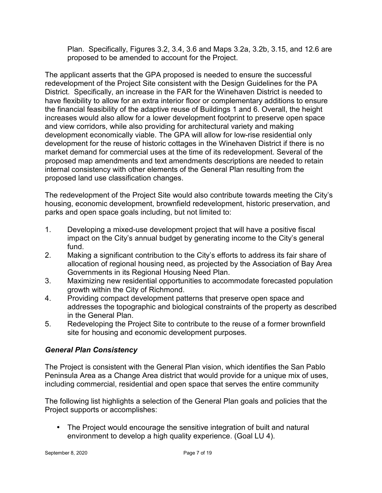Plan. Specifically, Figures 3.2, 3.4, 3.6 and Maps 3.2a, 3.2b, 3.15, and 12.6 are proposed to be amended to account for the Project.

The applicant asserts that the GPA proposed is needed to ensure the successful redevelopment of the Project Site consistent with the Design Guidelines for the PA District. Specifically, an increase in the FAR for the Winehaven District is needed to have flexibility to allow for an extra interior floor or complementary additions to ensure the financial feasibility of the adaptive reuse of Buildings 1 and 6. Overall, the height increases would also allow for a lower development footprint to preserve open space and view corridors, while also providing for architectural variety and making development economically viable. The GPA will allow for low-rise residential only development for the reuse of historic cottages in the Winehaven District if there is no market demand for commercial uses at the time of its redevelopment. Several of the proposed map amendments and text amendments descriptions are needed to retain internal consistency with other elements of the General Plan resulting from the proposed land use classification changes.

The redevelopment of the Project Site would also contribute towards meeting the City's housing, economic development, brownfield redevelopment, historic preservation, and parks and open space goals including, but not limited to:

- 1. Developing a mixed-use development project that will have a positive fiscal impact on the City's annual budget by generating income to the City's general fund.
- 2. Making a significant contribution to the City's efforts to address its fair share of allocation of regional housing need, as projected by the Association of Bay Area Governments in its Regional Housing Need Plan.
- 3. Maximizing new residential opportunities to accommodate forecasted population growth within the City of Richmond.
- 4. Providing compact development patterns that preserve open space and addresses the topographic and biological constraints of the property as described in the General Plan.
- 5. Redeveloping the Project Site to contribute to the reuse of a former brownfield site for housing and economic development purposes.

## *General Plan Consistency*

The Project is consistent with the General Plan vision, which identifies the San Pablo Peninsula Area as a Change Area district that would provide for a unique mix of uses, including commercial, residential and open space that serves the entire community

The following list highlights a selection of the General Plan goals and policies that the Project supports or accomplishes:

• The Project would encourage the sensitive integration of built and natural environment to develop a high quality experience. (Goal LU 4).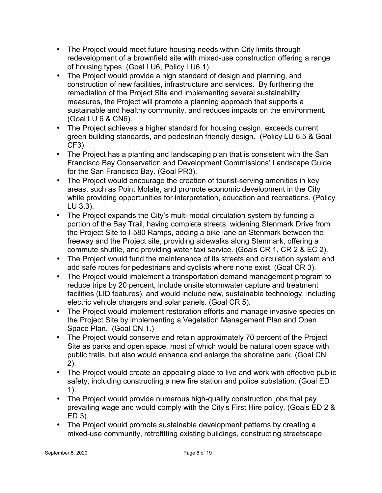- The Project would meet future housing needs within City limits through redevelopment of a brownfield site with mixed-use construction offering a range of housing types. (Goal LU6, Policy LU6.1).
- The Project would provide a high standard of design and planning, and construction of new facilities, infrastructure and services. By furthering the remediation of the Project Site and implementing several sustainability measures, the Project will promote a planning approach that supports a sustainable and healthy community, and reduces impacts on the environment. (Goal LU 6 & CN6).
- The Project achieves a higher standard for housing design, exceeds current green building standards, and pedestrian friendly design. (Policy LU 6.5 & Goal CF3).
- The Project has a planting and landscaping plan that is consistent with the San Francisco Bay Conservation and Development Commissions' Landscape Guide for the San Francisco Bay. (Goal PR3).
- The Project would encourage the creation of tourist-serving amenities in key areas, such as Point Molate, and promote economic development in the City while providing opportunities for interpretation, education and recreations. (Policy LU 3.3).
- The Project expands the City's multi-modal circulation system by funding a portion of the Bay Trail, having complete streets, widening Stenmark Drive from the Project Site to I-580 Ramps, adding a bike lane on Stenmark between the freeway and the Project site, providing sidewalks along Stenmark, offering a commute shuttle, and providing water taxi service. (Goals CR 1, CR 2 & EC 2).
- The Project would fund the maintenance of its streets and circulation system and add safe routes for pedestrians and cyclists where none exist. (Goal CR 3).
- The Project would implement a transportation demand management program to reduce trips by 20 percent, include onsite stormwater capture and treatment facilities (LID features), and would include new, sustainable technology, including electric vehicle chargers and solar panels. (Goal CR 5).
- The Project would implement restoration efforts and manage invasive species on the Project Site by implementing a Vegetation Management Plan and Open Space Plan. (Goal CN 1.)
- The Project would conserve and retain approximately 70 percent of the Project Site as parks and open space, most of which would be natural open space with public trails, but also would enhance and enlarge the shoreline park. (Goal CN 2).
- The Project would create an appealing place to live and work with effective public safety, including constructing a new fire station and police substation. (Goal ED 1).
- The Project would provide numerous high-quality construction jobs that pay prevailing wage and would comply with the City's First Hire policy. (Goals ED 2 & ED 3).
- The Project would promote sustainable development patterns by creating a mixed-use community, retrofitting existing buildings, constructing streetscape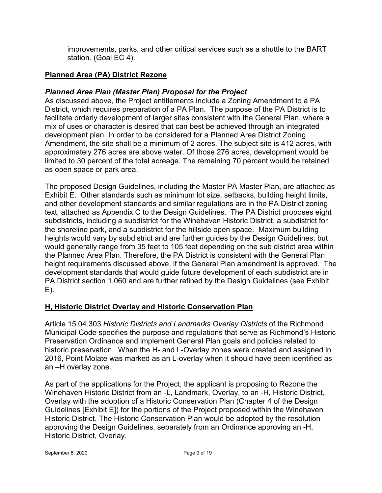improvements, parks, and other critical services such as a shuttle to the BART station. (Goal EC 4).

# **Planned Area (PA) District Rezone**

# *Planned Area Plan (Master Plan) Proposal for the Project*

As discussed above, the Project entitlements include a Zoning Amendment to a PA District, which requires preparation of a PA Plan. The purpose of the PA District is to facilitate orderly development of larger sites consistent with the General Plan, where a mix of uses or character is desired that can best be achieved through an integrated development plan. In order to be considered for a Planned Area District Zoning Amendment, the site shall be a minimum of 2 acres. The subject site is 412 acres, with approximately 276 acres are above water. Of those 276 acres, development would be limited to 30 percent of the total acreage. The remaining 70 percent would be retained as open space or park area.

The proposed Design Guidelines, including the Master PA Master Plan, are attached as Exhibit E. Other standards such as minimum lot size, setbacks, building height limits, and other development standards and similar regulations are in the PA District zoning text, attached as Appendix C to the Design Guidelines. The PA District proposes eight subdistricts, including a subdistrict for the Winehaven Historic District, a subdistrict for the shoreline park, and a subdistrict for the hillside open space. Maximum building heights would vary by subdistrict and are further guides by the Design Guidelines, but would generally range from 35 feet to 105 feet depending on the sub district area within the Planned Area Plan. Therefore, the PA District is consistent with the General Plan height requirements discussed above, if the General Plan amendment is approved. The development standards that would guide future development of each subdistrict are in PA District section 1.060 and are further refined by the Design Guidelines (see Exhibit E).

# **H, Historic District Overlay and Historic Conservation Plan**

Article 15.04.303 *Historic Districts and Landmarks Overlay Districts* of the Richmond Municipal Code specifies the purpose and regulations that serve as Richmond's Historic Preservation Ordinance and implement General Plan goals and policies related to historic preservation. When the H- and L-Overlay zones were created and assigned in 2016, Point Molate was marked as an L-overlay when it should have been identified as an –H overlay zone.

As part of the applications for the Project, the applicant is proposing to Rezone the Winehaven Historic District from an -L, Landmark, Overlay, to an -H, Historic District, Overlay with the adoption of a Historic Conservation Plan (Chapter 4 of the Design Guidelines [Exhibit E]) for the portions of the Project proposed within the Winehaven Historic District. The Historic Conservation Plan would be adopted by the resolution approving the Design Guidelines, separately from an Ordinance approving an -H, Historic District, Overlay.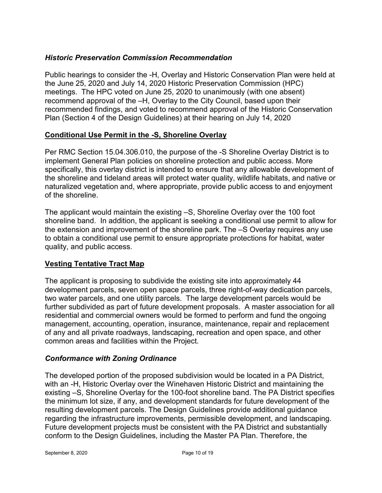## *Historic Preservation Commission Recommendation*

Public hearings to consider the -H, Overlay and Historic Conservation Plan were held at the June 25, 2020 and July 14, 2020 Historic Preservation Commission (HPC) meetings. The HPC voted on June 25, 2020 to unanimously (with one absent) recommend approval of the –H, Overlay to the City Council, based upon their recommended findings, and voted to recommend approval of the Historic Conservation Plan (Section 4 of the Design Guidelines) at their hearing on July 14, 2020

## **Conditional Use Permit in the -S, Shoreline Overlay**

Per RMC Section 15.04.306.010, the purpose of the -S Shoreline Overlay District is to implement General Plan policies on shoreline protection and public access. More specifically, this overlay district is intended to ensure that any allowable development of the shoreline and tideland areas will protect water quality, wildlife habitats, and native or naturalized vegetation and, where appropriate, provide public access to and enjoyment of the shoreline.

The applicant would maintain the existing –S, Shoreline Overlay over the 100 foot shoreline band. In addition, the applicant is seeking a conditional use permit to allow for the extension and improvement of the shoreline park. The –S Overlay requires any use to obtain a conditional use permit to ensure appropriate protections for habitat, water quality, and public access.

## **Vesting Tentative Tract Map**

The applicant is proposing to subdivide the existing site into approximately 44 development parcels, seven open space parcels, three right-of-way dedication parcels, two water parcels, and one utility parcels. The large development parcels would be further subdivided as part of future development proposals. A master association for all residential and commercial owners would be formed to perform and fund the ongoing management, accounting, operation, insurance, maintenance, repair and replacement of any and all private roadways, landscaping, recreation and open space, and other common areas and facilities within the Project.

## *Conformance with Zoning Ordinance*

The developed portion of the proposed subdivision would be located in a PA District, with an -H, Historic Overlay over the Winehaven Historic District and maintaining the existing –S, Shoreline Overlay for the 100-foot shoreline band. The PA District specifies the minimum lot size, if any, and development standards for future development of the resulting development parcels. The Design Guidelines provide additional guidance regarding the infrastructure improvements, permissible development, and landscaping. Future development projects must be consistent with the PA District and substantially conform to the Design Guidelines, including the Master PA Plan. Therefore, the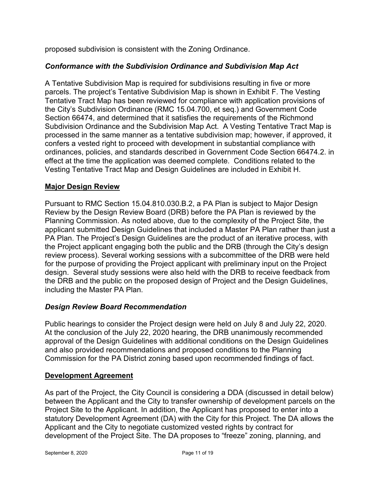proposed subdivision is consistent with the Zoning Ordinance.

# *Conformance with the Subdivision Ordinance and Subdivision Map Act*

A Tentative Subdivision Map is required for subdivisions resulting in five or more parcels. The project's Tentative Subdivision Map is shown in Exhibit F. The Vesting Tentative Tract Map has been reviewed for compliance with application provisions of the City's Subdivision Ordinance (RMC 15.04.700, et seq.) and Government Code Section 66474, and determined that it satisfies the requirements of the Richmond Subdivision Ordinance and the Subdivision Map Act. A Vesting Tentative Tract Map is processed in the same manner as a tentative subdivision map; however, if approved, it confers a vested right to proceed with development in substantial compliance with ordinances, policies, and standards described in Government Code Section 66474.2. in effect at the time the application was deemed complete. Conditions related to the Vesting Tentative Tract Map and Design Guidelines are included in Exhibit H.

## **Major Design Review**

Pursuant to RMC Section 15.04.810.030.B.2, a PA Plan is subject to Major Design Review by the Design Review Board (DRB) before the PA Plan is reviewed by the Planning Commission. As noted above, due to the complexity of the Project Site, the applicant submitted Design Guidelines that included a Master PA Plan rather than just a PA Plan. The Project's Design Guidelines are the product of an iterative process, with the Project applicant engaging both the public and the DRB (through the City's design review process). Several working sessions with a subcommittee of the DRB were held for the purpose of providing the Project applicant with preliminary input on the Project design. Several study sessions were also held with the DRB to receive feedback from the DRB and the public on the proposed design of Project and the Design Guidelines, including the Master PA Plan.

## *Design Review Board Recommendation*

Public hearings to consider the Project design were held on July 8 and July 22, 2020. At the conclusion of the July 22, 2020 hearing, the DRB unanimously recommended approval of the Design Guidelines with additional conditions on the Design Guidelines and also provided recommendations and proposed conditions to the Planning Commission for the PA District zoning based upon recommended findings of fact.

#### **Development Agreement**

As part of the Project, the City Council is considering a DDA (discussed in detail below) between the Applicant and the City to transfer ownership of development parcels on the Project Site to the Applicant. In addition, the Applicant has proposed to enter into a statutory Development Agreement (DA) with the City for this Project. The DA allows the Applicant and the City to negotiate customized vested rights by contract for development of the Project Site. The DA proposes to "freeze" zoning, planning, and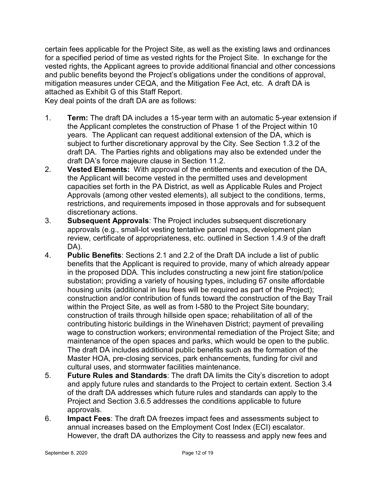certain fees applicable for the Project Site, as well as the existing laws and ordinances for a specified period of time as vested rights for the Project Site. In exchange for the vested rights, the Applicant agrees to provide additional financial and other concessions and public benefits beyond the Project's obligations under the conditions of approval, mitigation measures under CEQA, and the Mitigation Fee Act, etc. A draft DA is attached as Exhibit G of this Staff Report.

Key deal points of the draft DA are as follows:

- 1. **Term:** The draft DA includes a 15-year term with an automatic 5-year extension if the Applicant completes the construction of Phase 1 of the Project within 10 years. The Applicant can request additional extension of the DA, which is subject to further discretionary approval by the City. See Section 1.3.2 of the draft DA. The Parties rights and obligations may also be extended under the draft DA's force majeure clause in Section 11.2.
- 2. **Vested Elements:** With approval of the entitlements and execution of the DA, the Applicant will become vested in the permitted uses and development capacities set forth in the PA District, as well as Applicable Rules and Project Approvals (among other vested elements), all subject to the conditions, terms, restrictions, and requirements imposed in those approvals and for subsequent discretionary actions.
- 3. **Subsequent Approvals**: The Project includes subsequent discretionary approvals (e.g., small-lot vesting tentative parcel maps, development plan review, certificate of appropriateness, etc. outlined in Section 1.4.9 of the draft DA).
- 4. **Public Benefits**: Sections 2.1 and 2.2 of the Draft DA include a list of public benefits that the Applicant is required to provide, many of which already appear in the proposed DDA. This includes constructing a new joint fire station/police substation; providing a variety of housing types, including 67 onsite affordable housing units (additional in lieu fees will be required as part of the Project); construction and/or contribution of funds toward the construction of the Bay Trail within the Project Site, as well as from I-580 to the Project Site boundary; construction of trails through hillside open space; rehabilitation of all of the contributing historic buildings in the Winehaven District; payment of prevailing wage to construction workers; environmental remediation of the Project Site; and maintenance of the open spaces and parks, which would be open to the public. The draft DA includes additional public benefits such as the formation of the Master HOA, pre-closing services, park enhancements, funding for civil and cultural uses, and stormwater facilities maintenance.
- 5. **Future Rules and Standards**: The draft DA limits the City's discretion to adopt and apply future rules and standards to the Project to certain extent. Section 3.4 of the draft DA addresses which future rules and standards can apply to the Project and Section 3.6.5 addresses the conditions applicable to future approvals.
- 6. **Impact Fees**: The draft DA freezes impact fees and assessments subject to annual increases based on the Employment Cost Index (ECI) escalator. However, the draft DA authorizes the City to reassess and apply new fees and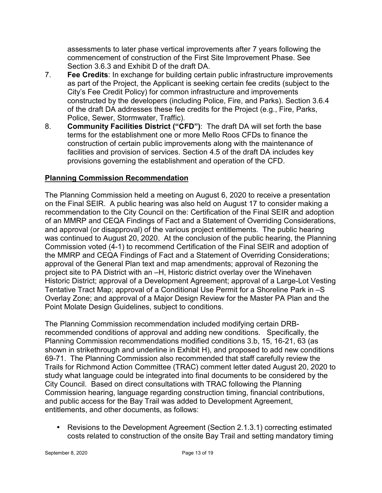assessments to later phase vertical improvements after 7 years following the commencement of construction of the First Site Improvement Phase. See Section 3.6.3 and Exhibit D of the draft DA.

- 7. **Fee Credits**: In exchange for building certain public infrastructure improvements as part of the Project, the Applicant is seeking certain fee credits (subject to the City's Fee Credit Policy) for common infrastructure and improvements constructed by the developers (including Police, Fire, and Parks). Section 3.6.4 of the draft DA addresses these fee credits for the Project (e.g., Fire, Parks, Police, Sewer, Stormwater, Traffic).
- 8. **Community Facilities District ("CFD")**: The draft DA will set forth the base terms for the establishment one or more Mello Roos CFDs to finance the construction of certain public improvements along with the maintenance of facilities and provision of services. Section 4.5 of the draft DA includes key provisions governing the establishment and operation of the CFD.

# **Planning Commission Recommendation**

The Planning Commission held a meeting on August 6, 2020 to receive a presentation on the Final SEIR. A public hearing was also held on August 17 to consider making a recommendation to the City Council on the: Certification of the Final SEIR and adoption of an MMRP and CEQA Findings of Fact and a Statement of Overriding Considerations, and approval (or disapproval) of the various project entitlements. The public hearing was continued to August 20, 2020. At the conclusion of the public hearing, the Planning Commission voted (4-1) to recommend Certification of the Final SEIR and adoption of the MMRP and CEQA Findings of Fact and a Statement of Overriding Considerations; approval of the General Plan text and map amendments; approval of Rezoning the project site to PA District with an –H, Historic district overlay over the Winehaven Historic District; approval of a Development Agreement; approval of a Large-Lot Vesting Tentative Tract Map; approval of a Conditional Use Permit for a Shoreline Park in –S Overlay Zone; and approval of a Major Design Review for the Master PA Plan and the Point Molate Design Guidelines, subject to conditions.

The Planning Commission recommendation included modifying certain DRBrecommended conditions of approval and adding new conditions. Specifically, the Planning Commission recommendations modified conditions 3.b, 15, 16-21, 63 (as shown in strikethrough and underline in Exhibit H), and proposed to add new conditions 69-71. The Planning Commission also recommended that staff carefully review the Trails for Richmond Action Committee (TRAC) comment letter dated August 20, 2020 to study what language could be integrated into final documents to be considered by the City Council. Based on direct consultations with TRAC following the Planning Commission hearing, language regarding construction timing, financial contributions, and public access for the Bay Trail was added to Development Agreement, entitlements, and other documents, as follows:

• Revisions to the Development Agreement (Section 2.1.3.1) correcting estimated costs related to construction of the onsite Bay Trail and setting mandatory timing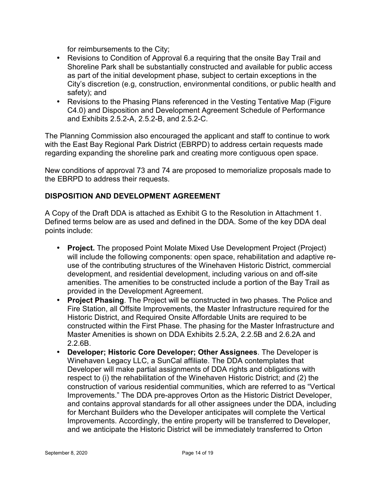for reimbursements to the City;

- Revisions to Condition of Approval 6.a requiring that the onsite Bay Trail and Shoreline Park shall be substantially constructed and available for public access as part of the initial development phase, subject to certain exceptions in the City's discretion (e.g, construction, environmental conditions, or public health and safety); and
- Revisions to the Phasing Plans referenced in the Vesting Tentative Map (Figure C4.0) and Disposition and Development Agreement Schedule of Performance and Exhibits 2.5.2-A, 2.5.2-B, and 2.5.2-C.

The Planning Commission also encouraged the applicant and staff to continue to work with the East Bay Regional Park District (EBRPD) to address certain requests made regarding expanding the shoreline park and creating more contiguous open space.

New conditions of approval 73 and 74 are proposed to memorialize proposals made to the EBRPD to address their requests.

## **DISPOSITION AND DEVELOPMENT AGREEMENT**

A Copy of the Draft DDA is attached as Exhibit G to the Resolution in Attachment 1. Defined terms below are as used and defined in the DDA. Some of the key DDA deal points include:

- **Project.** The proposed Point Molate Mixed Use Development Project (Project) will include the following components: open space, rehabilitation and adaptive reuse of the contributing structures of the Winehaven Historic District, commercial development, and residential development, including various on and off-site amenities. The amenities to be constructed include a portion of the Bay Trail as provided in the Development Agreement.
- **Project Phasing**. The Project will be constructed in two phases. The Police and Fire Station, all Offsite Improvements, the Master Infrastructure required for the Historic District, and Required Onsite Affordable Units are required to be constructed within the First Phase. The phasing for the Master Infrastructure and Master Amenities is shown on DDA Exhibits 2.5.2A, 2.2.5B and 2.6.2A and 2.2.6B.
- **Developer; Historic Core Developer; Other Assignees**. The Developer is Winehaven Legacy LLC, a SunCal affiliate. The DDA contemplates that Developer will make partial assignments of DDA rights and obligations with respect to (i) the rehabilitation of the Winehaven Historic District; and (2) the construction of various residential communities, which are referred to as "Vertical Improvements." The DDA pre-approves Orton as the Historic District Developer, and contains approval standards for all other assignees under the DDA, including for Merchant Builders who the Developer anticipates will complete the Vertical Improvements. Accordingly, the entire property will be transferred to Developer, and we anticipate the Historic District will be immediately transferred to Orton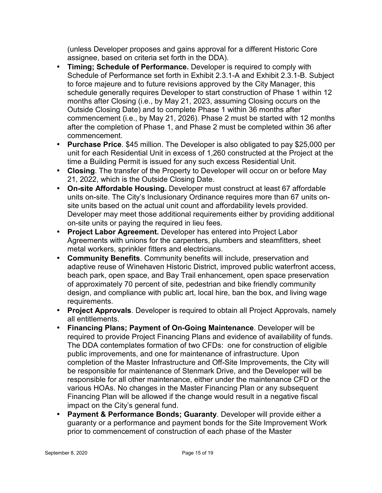(unless Developer proposes and gains approval for a different Historic Core assignee, based on criteria set forth in the DDA).

- **Timing; Schedule of Performance.** Developer is required to comply with Schedule of Performance set forth in Exhibit 2.3.1-A and Exhibit 2.3.1-B. Subject to force majeure and to future revisions approved by the City Manager, this schedule generally requires Developer to start construction of Phase 1 within 12 months after Closing (i.e., by May 21, 2023, assuming Closing occurs on the Outside Closing Date) and to complete Phase 1 within 36 months after commencement (i.e., by May 21, 2026). Phase 2 must be started with 12 months after the completion of Phase 1, and Phase 2 must be completed within 36 after commencement.
- **Purchase Price**. \$45 million. The Developer is also obligated to pay \$25,000 per unit for each Residential Unit in excess of 1,260 constructed at the Project at the time a Building Permit is issued for any such excess Residential Unit.
- **Closing**. The transfer of the Property to Developer will occur on or before May 21, 2022, which is the Outside Closing Date.
- **On-site Affordable Housing.** Developer must construct at least 67 affordable units on-site. The City's Inclusionary Ordinance requires more than 67 units onsite units based on the actual unit count and affordability levels provided. Developer may meet those additional requirements either by providing additional on-site units or paying the required in lieu fees.
- **Project Labor Agreement.** Developer has entered into Project Labor Agreements with unions for the carpenters, plumbers and steamfitters, sheet metal workers, sprinkler fitters and electricians.
- **Community Benefits**. Community benefits will include, preservation and adaptive reuse of Winehaven Historic District, improved public waterfront access, beach park, open space, and Bay Trail enhancement, open space preservation of approximately 70 percent of site, pedestrian and bike friendly community design, and compliance with public art, local hire, ban the box, and living wage requirements.
- **Project Approvals**. Developer is required to obtain all Project Approvals, namely all entitlements.
- **Financing Plans; Payment of On-Going Maintenance**. Developer will be required to provide Project Financing Plans and evidence of availability of funds. The DDA contemplates formation of two CFDs: one for construction of eligible public improvements, and one for maintenance of infrastructure. Upon completion of the Master Infrastructure and Off-Site Improvements, the City will be responsible for maintenance of Stenmark Drive, and the Developer will be responsible for all other maintenance, either under the maintenance CFD or the various HOAs. No changes in the Master Financing Plan or any subsequent Financing Plan will be allowed if the change would result in a negative fiscal impact on the City's general fund.
- **Payment & Performance Bonds; Guaranty**. Developer will provide either a guaranty or a performance and payment bonds for the Site Improvement Work prior to commencement of construction of each phase of the Master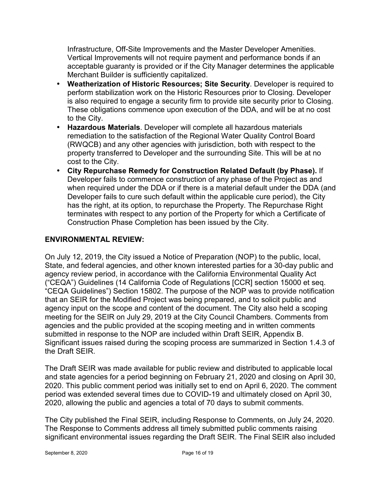Infrastructure, Off-Site Improvements and the Master Developer Amenities. Vertical Improvements will not require payment and performance bonds if an acceptable guaranty is provided or if the City Manager determines the applicable Merchant Builder is sufficiently capitalized.

- **Weatherization of Historic Resources; Site Security**. Developer is required to perform stabilization work on the Historic Resources prior to Closing. Developer is also required to engage a security firm to provide site security prior to Closing. These obligations commence upon execution of the DDA, and will be at no cost to the City.
- **Hazardous Materials**. Developer will complete all hazardous materials remediation to the satisfaction of the Regional Water Quality Control Board (RWQCB) and any other agencies with jurisdiction, both with respect to the property transferred to Developer and the surrounding Site. This will be at no cost to the City.
- **City Repurchase Remedy for Construction Related Default (by Phase).** If Developer fails to commence construction of any phase of the Project as and when required under the DDA or if there is a material default under the DDA (and Developer fails to cure such default within the applicable cure period), the City has the right, at its option, to repurchase the Property. The Repurchase Right terminates with respect to any portion of the Property for which a Certificate of Construction Phase Completion has been issued by the City.

## **ENVIRONMENTAL REVIEW:**

On July 12, 2019, the City issued a Notice of Preparation (NOP) to the public, local, State, and federal agencies, and other known interested parties for a 30-day public and agency review period, in accordance with the California Environmental Quality Act ("CEQA") Guidelines (14 California Code of Regulations [CCR] section 15000 et seq. "CEQA Guidelines") Section 15802. The purpose of the NOP was to provide notification that an SEIR for the Modified Project was being prepared, and to solicit public and agency input on the scope and content of the document. The City also held a scoping meeting for the SEIR on July 29, 2019 at the City Council Chambers. Comments from agencies and the public provided at the scoping meeting and in written comments submitted in response to the NOP are included within Draft SEIR, Appendix B. Significant issues raised during the scoping process are summarized in Section 1.4.3 of the Draft SEIR.

The Draft SEIR was made available for public review and distributed to applicable local and state agencies for a period beginning on February 21, 2020 and closing on April 30, 2020. This public comment period was initially set to end on April 6, 2020. The comment period was extended several times due to COVID-19 and ultimately closed on April 30, 2020, allowing the public and agencies a total of 70 days to submit comments.

The City published the Final SEIR, including Response to Comments, on July 24, 2020. The Response to Comments address all timely submitted public comments raising significant environmental issues regarding the Draft SEIR. The Final SEIR also included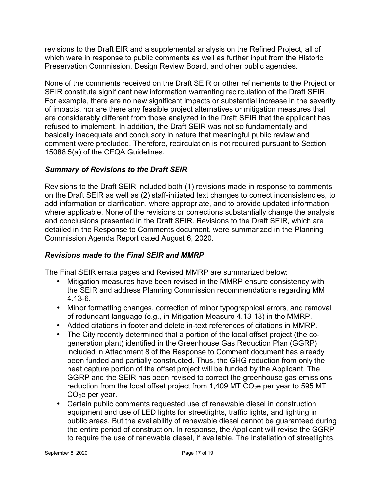revisions to the Draft EIR and a supplemental analysis on the Refined Project, all of which were in response to public comments as well as further input from the Historic Preservation Commission, Design Review Board, and other public agencies.

None of the comments received on the Draft SEIR or other refinements to the Project or SEIR constitute significant new information warranting recirculation of the Draft SEIR. For example, there are no new significant impacts or substantial increase in the severity of impacts, nor are there any feasible project alternatives or mitigation measures that are considerably different from those analyzed in the Draft SEIR that the applicant has refused to implement. In addition, the Draft SEIR was not so fundamentally and basically inadequate and conclusory in nature that meaningful public review and comment were precluded. Therefore, recirculation is not required pursuant to Section 15088.5(a) of the CEQA Guidelines.

# *Summary of Revisions to the Draft SEIR*

Revisions to the Draft SEIR included both (1) revisions made in response to comments on the Draft SEIR as well as (2) staff-initiated text changes to correct inconsistencies, to add information or clarification, where appropriate, and to provide updated information where applicable. None of the revisions or corrections substantially change the analysis and conclusions presented in the Draft SEIR. Revisions to the Draft SEIR, which are detailed in the Response to Comments document, were summarized in the Planning Commission Agenda Report dated August 6, 2020.

## *Revisions made to the Final SEIR and MMRP*

The Final SEIR errata pages and Revised MMRP are summarized below:

- Mitigation measures have been revised in the MMRP ensure consistency with the SEIR and address Planning Commission recommendations regarding MM 4.13-6.
- Minor formatting changes, correction of minor typographical errors, and removal of redundant language (e.g., in Mitigation Measure 4.13-18) in the MMRP.
- Added citations in footer and delete in-text references of citations in MMRP.
- The City recently determined that a portion of the local offset project (the cogeneration plant) identified in the Greenhouse Gas Reduction Plan (GGRP) included in Attachment 8 of the Response to Comment document has already been funded and partially constructed. Thus, the GHG reduction from only the heat capture portion of the offset project will be funded by the Applicant. The GGRP and the SEIR has been revised to correct the greenhouse gas emissions reduction from the local offset project from 1,409 MT  $CO<sub>2</sub>e$  per year to 595 MT  $CO<sub>2</sub>e$  per year.
- Certain public comments requested use of renewable diesel in construction equipment and use of LED lights for streetlights, traffic lights, and lighting in public areas. But the availability of renewable diesel cannot be guaranteed during the entire period of construction. In response, the Applicant will revise the GGRP to require the use of renewable diesel, if available. The installation of streetlights,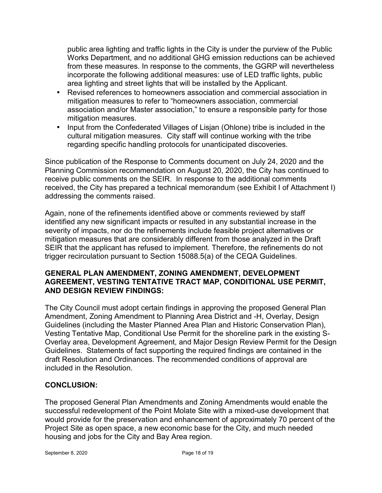public area lighting and traffic lights in the City is under the purview of the Public Works Department, and no additional GHG emission reductions can be achieved from these measures. In response to the comments, the GGRP will nevertheless incorporate the following additional measures: use of LED traffic lights, public area lighting and street lights that will be installed by the Applicant.

- Revised references to homeowners association and commercial association in mitigation measures to refer to "homeowners association, commercial association and/or Master association," to ensure a responsible party for those mitigation measures.
- Input from the Confederated Villages of Lisjan (Ohlone) tribe is included in the cultural mitigation measures. City staff will continue working with the tribe regarding specific handling protocols for unanticipated discoveries.

Since publication of the Response to Comments document on July 24, 2020 and the Planning Commission recommendation on August 20, 2020, the City has continued to receive public comments on the SEIR. In response to the additional comments received, the City has prepared a technical memorandum (see Exhibit I of Attachment I) addressing the comments raised.

Again, none of the refinements identified above or comments reviewed by staff identified any new significant impacts or resulted in any substantial increase in the severity of impacts, nor do the refinements include feasible project alternatives or mitigation measures that are considerably different from those analyzed in the Draft SEIR that the applicant has refused to implement. Therefore, the refinements do not trigger recirculation pursuant to Section 15088.5(a) of the CEQA Guidelines.

#### **GENERAL PLAN AMENDMENT, ZONING AMENDMENT, DEVELOPMENT AGREEMENT, VESTING TENTATIVE TRACT MAP, CONDITIONAL USE PERMIT, AND DESIGN REVIEW FINDINGS:**

The City Council must adopt certain findings in approving the proposed General Plan Amendment, Zoning Amendment to Planning Area District and -H, Overlay, Design Guidelines (including the Master Planned Area Plan and Historic Conservation Plan), Vesting Tentative Map, Conditional Use Permit for the shoreline park in the existing S-Overlay area, Development Agreement, and Major Design Review Permit for the Design Guidelines. Statements of fact supporting the required findings are contained in the draft Resolution and Ordinances. The recommended conditions of approval are included in the Resolution.

## **CONCLUSION:**

The proposed General Plan Amendments and Zoning Amendments would enable the successful redevelopment of the Point Molate Site with a mixed-use development that would provide for the preservation and enhancement of approximately 70 percent of the Project Site as open space, a new economic base for the City, and much needed housing and jobs for the City and Bay Area region.